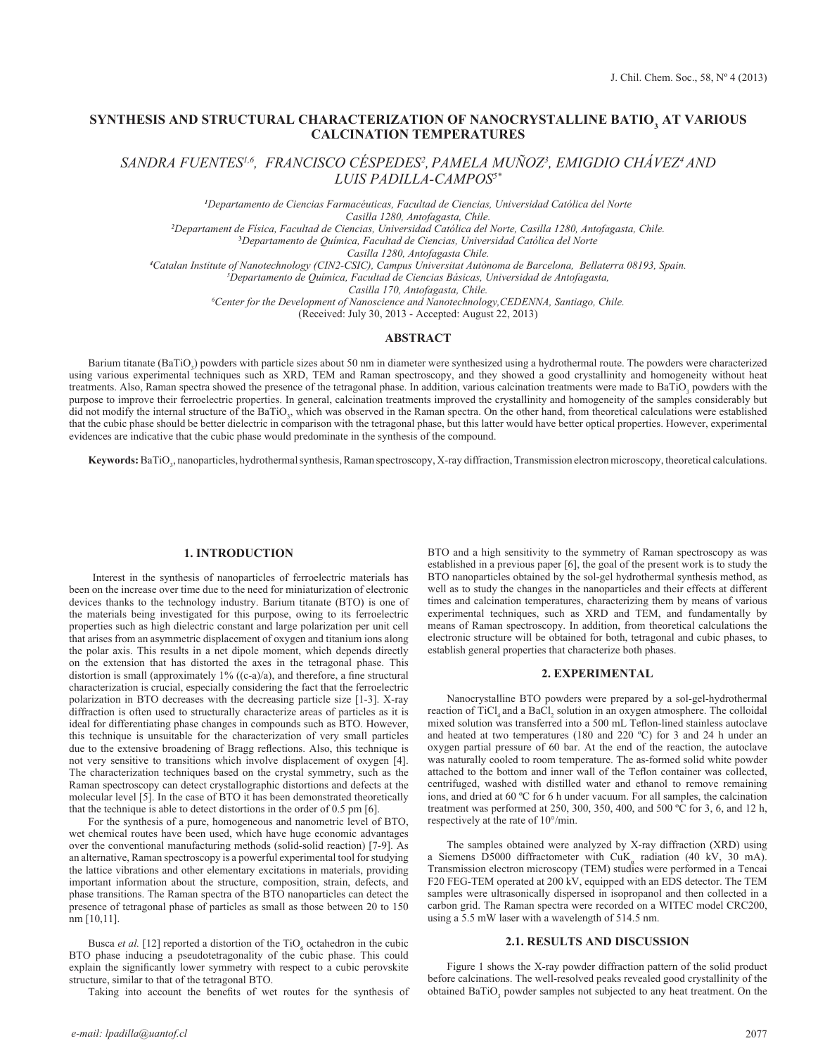# **SYNTHESIS AND STRUCTURAL CHARACTERIZATION OF NANOCRYSTALLINE BATIO, AT VARIOUS CALCINATION TEMPERATURES**

*SANDRA FUENTES1,6, FRANCISCO CÉSPEDES2 ,PAMELA MUÑOZ3 , EMIGDIO CHÁVEZ4 AND LUIS PADILLA-CAMPOS5\** 

> *1 Departamento de Ciencias Farmacéuticas, Facultad de Ciencias, Universidad Católica del Norte Casilla 1280, Antofagasta, Chile.*

*2 Departament de Física, Facultad de Ciencias, Universidad Católica del Norte, Casilla 1280, Antofagasta, Chile.*

**3** *Departamento de Química, Facultad de Ciencias, Universidad Católica del Norte*

*Casilla 1280, Antofagasta Chile.*

*4 Catalan Institute of Nanotechnology (CIN2-CSIC), Campus Universitat Autònoma de Barcelona, Bellaterra 08193, Spain.*

*5 Departamento de Química, Facultad de Ciencias Básicas, Universidad de Antofagasta,*

*Casilla 170, Antofagasta, Chile.*

*6 Center for the Development of Nanoscience and Nanotechnology,CEDENNA, Santiago, Chile.*

(Received: July 30, 2013 - Accepted: August 22, 2013)

## **ABSTRACT**

Barium titanate (BaTiO<sub>3</sub>) powders with particle sizes about 50 nm in diameter were synthesized using a hydrothermal route. The powders were characterized using various experimental techniques such as XRD, TEM and Raman spectroscopy, and they showed a good crystallinity and homogeneity without heat treatments. Also, Raman spectra showed the presence of the tetragonal phase. In addition, various calcination treatments were made to BaTiO<sub>3</sub> powders with the purpose to improve their ferroelectric properties. In general, calcination treatments improved the crystallinity and homogeneity of the samples considerably but did not modify the internal structure of the BaTiO<sub>3</sub>, which was observed in the Raman spectra. On the other hand, from theoretical calculations were established that the cubic phase should be better dielectric in comparison with the tetragonal phase, but this latter would have better optical properties. However, experimental evidences are indicative that the cubic phase would predominate in the synthesis of the compound.

**Keywords:** BaTiO<sub>3</sub>, nanoparticles, hydrothermal synthesis, Raman spectroscopy, X-ray diffraction, Transmission electron microscopy, theoretical calculations.

### **1. INTRODUCTION**

 Interest in the synthesis of nanoparticles of ferroelectric materials has been on the increase over time due to the need for miniaturization of electronic devices thanks to the technology industry. Barium titanate (BTO) is one of the materials being investigated for this purpose, owing to its ferroelectric properties such as high dielectric constant and large polarization per unit cell that arises from an asymmetric displacement of oxygen and titanium ions along the polar axis. This results in a net dipole moment, which depends directly on the extension that has distorted the axes in the tetragonal phase. This distortion is small (approximately  $1\%$  ((c-a)/a), and therefore, a fine structural characterization is crucial, especially considering the fact that the ferroelectric polarization in BTO decreases with the decreasing particle size [1-3]. X-ray diffraction is often used to structurally characterize areas of particles as it is ideal for differentiating phase changes in compounds such as BTO. However, this technique is unsuitable for the characterization of very small particles due to the extensive broadening of Bragg reflections. Also, this technique is not very sensitive to transitions which involve displacement of oxygen [4]. The characterization techniques based on the crystal symmetry, such as the Raman spectroscopy can detect crystallographic distortions and defects at the molecular level [5]. In the case of BTO it has been demonstrated theoretically that the technique is able to detect distortions in the order of 0.5 pm [6].

For the synthesis of a pure, homogeneous and nanometric level of BTO, wet chemical routes have been used, which have huge economic advantages over the conventional manufacturing methods (solid-solid reaction) [7-9]. As an alternative, Raman spectroscopy is a powerful experimental tool for studying the lattice vibrations and other elementary excitations in materials, providing important information about the structure, composition, strain, defects, and phase transitions. The Raman spectra of the BTO nanoparticles can detect the presence of tetragonal phase of particles as small as those between 20 to 150 nm [10,11].

Busca *et al.* [12] reported a distortion of the  $TiO_6$  octahedron in the cubic BTO phase inducing a pseudotetragonality of the cubic phase. This could explain the significantly lower symmetry with respect to a cubic perovskite structure, similar to that of the tetragonal BTO.

Taking into account the benefits of wet routes for the synthesis of

*e-mail: lpadilla@uantof.cl*

BTO and a high sensitivity to the symmetry of Raman spectroscopy as was established in a previous paper [6], the goal of the present work is to study the BTO nanoparticles obtained by the sol-gel hydrothermal synthesis method, as well as to study the changes in the nanoparticles and their effects at different times and calcination temperatures, characterizing them by means of various experimental techniques, such as XRD and TEM, and fundamentally by means of Raman spectroscopy. In addition, from theoretical calculations the electronic structure will be obtained for both, tetragonal and cubic phases, to establish general properties that characterize both phases.

#### **2. EXPERIMENTAL**

Nanocrystalline BTO powders were prepared by a sol-gel-hydrothermal reaction of TiCl<sub>4</sub> and a BaCl<sub>2</sub> solution in an oxygen atmosphere. The colloidal mixed solution was transferred into a 500 mL Teflon-lined stainless autoclave and heated at two temperatures (180 and 220 ºC) for 3 and 24 h under an oxygen partial pressure of 60 bar. At the end of the reaction, the autoclave was naturally cooled to room temperature. The as-formed solid white powder attached to the bottom and inner wall of the Teflon container was collected, centrifuged, washed with distilled water and ethanol to remove remaining ions, and dried at 60 ºC for 6 h under vacuum. For all samples, the calcination treatment was performed at 250, 300, 350, 400, and 500 ºC for 3, 6, and 12 h, respectively at the rate of 10°/min.

The samples obtained were analyzed by X-ray diffraction (XRD) using a Siemens D5000 diffractometer with  $\text{CuK}_{a}$  radiation (40 kV, 30 mA). Transmission electron microscopy (TEM) studies were performed in a Tencai F20 FEG-TEM operated at 200 kV, equipped with an EDS detector. The TEM samples were ultrasonically dispersed in isopropanol and then collected in a carbon grid. The Raman spectra were recorded on a WITEC model CRC200, using a 5.5 mW laser with a wavelength of 514.5 nm.

#### **2.1. RESULTS AND DISCUSSION**

Figure 1 shows the X-ray powder diffraction pattern of the solid product before calcinations. The well-resolved peaks revealed good crystallinity of the obtained BaTiO<sub>3</sub> powder samples not subjected to any heat treatment. On the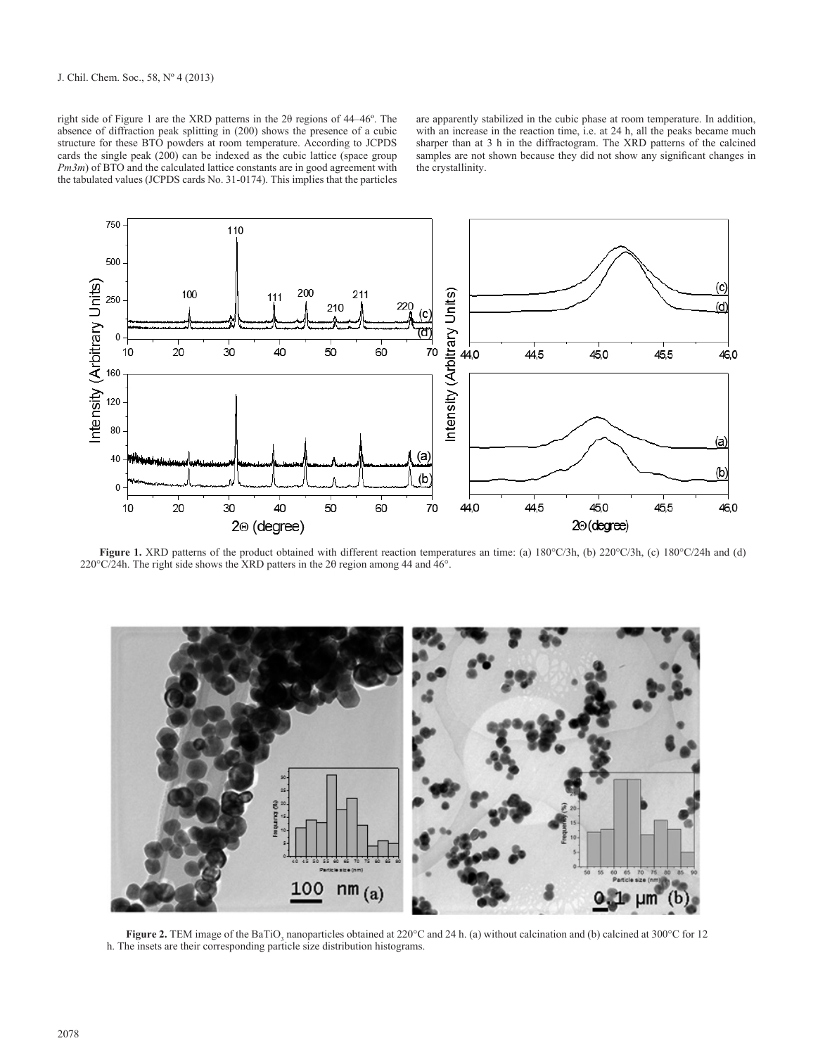right side of Figure 1 are the XRD patterns in the 2θ regions of 44–46º. The absence of diffraction peak splitting in (200) shows the presence of a cubic structure for these BTO powders at room temperature. According to JCPDS cards the single peak  $(200)$  can be indexed as the cubic lattice (space group *Pm3m*) of BTO and the calculated lattice constants are in good agreement with the tabulated values (JCPDS cards No. 31-0174). This implies that the particles are apparently stabilized in the cubic phase at room temperature. In addition, with an increase in the reaction time, i.e. at 24 h, all the peaks became much sharper than at 3 h in the diffractogram. The XRD patterns of the calcined samples are not shown because they did not show any significant changes in the crystallinity.



**Figure 1.** XRD patterns of the product obtained with different reaction temperatures an time: (a)  $180^{\circ}C/3h$ , (b)  $220^{\circ}C/3h$ , (c)  $180^{\circ}C/24h$  and (d)  $220^{\circ}$ C/24h. The right side shows the XRD patters in the 20 region among 44 and 46 $^{\circ}$ .



**Figure 2.** TEM image of the BaTiO<sub>3</sub> nanoparticles obtained at 220°C and 24 h. (a) without calcination and (b) calcined at 300°C for 12 h. The insets are their corresponding particle size distribution histograms.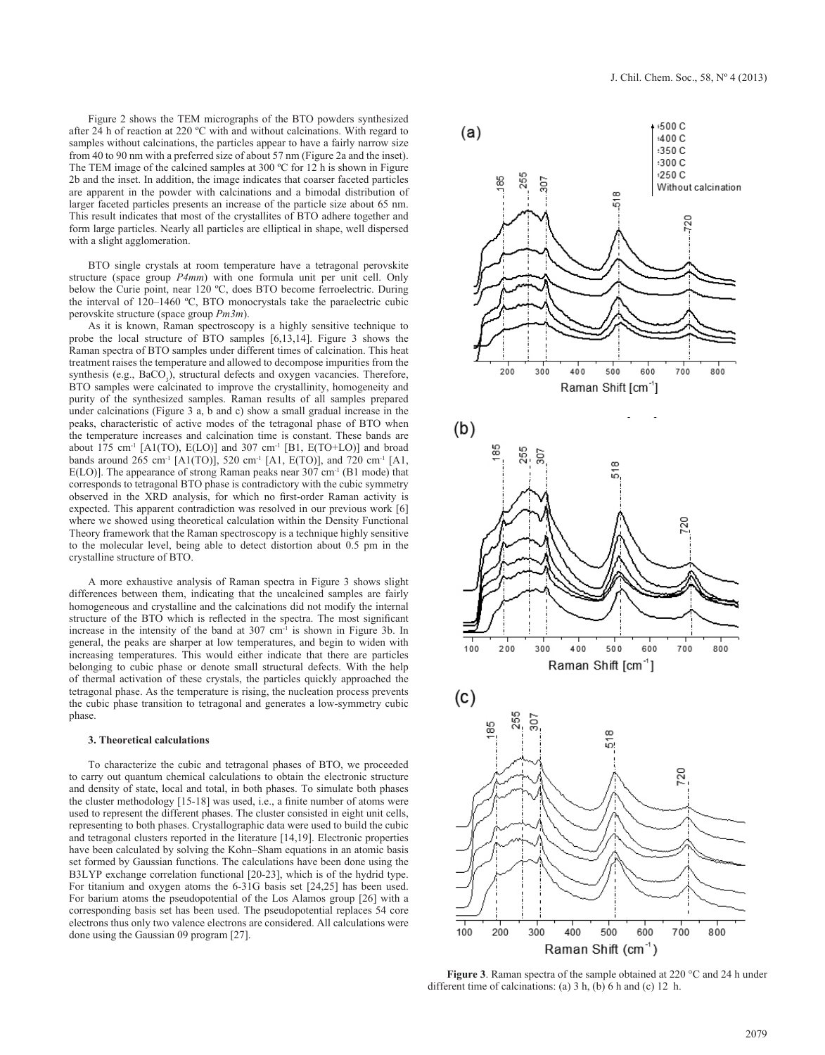Figure 2 shows the TEM micrographs of the BTO powders synthesized after 24 h of reaction at 220 ºC with and without calcinations. With regard to samples without calcinations, the particles appear to have a fairly narrow size from 40 to 90 nm with a preferred size of about 57 nm (Figure 2a and the inset). The TEM image of the calcined samples at 300 ºC for 12 h is shown in Figure 2b and the inset. In addition, the image indicates that coarser faceted particles are apparent in the powder with calcinations and a bimodal distribution of larger faceted particles presents an increase of the particle size about 65 nm. This result indicates that most of the crystallites of BTO adhere together and form large particles. Nearly all particles are elliptical in shape, well dispersed with a slight agglomeration.

BTO single crystals at room temperature have a tetragonal perovskite structure (space group *P4mm*) with one formula unit per unit cell. Only below the Curie point, near 120 °C, does BTO become ferroelectric. During the interval of 120–1460 ºC, BTO monocrystals take the paraelectric cubic perovskite structure (space group *Pm3m*).

As it is known, Raman spectroscopy is a highly sensitive technique to probe the local structure of BTO samples [6,13,14]. Figure 3 shows the Raman spectra of BTO samples under different times of calcination. This heat treatment raises the temperature and allowed to decompose impurities from the synthesis (e.g.,  $BaCO<sub>3</sub>$ ), structural defects and oxygen vacancies. Therefore, BTO samples were calcinated to improve the crystallinity, homogeneity and purity of the synthesized samples. Raman results of all samples prepared under calcinations (Figure 3 a, b and c) show a small gradual increase in the peaks, characteristic of active modes of the tetragonal phase of BTO when the temperature increases and calcination time is constant. These bands are about  $175 \text{ cm}^{-1}$  [A1(TO), E(LO)] and 307 cm<sup>-1</sup> [B1, E(TO+LO)] and broad bands around  $265 \text{ cm}^{-1}$  [A1(TO)], 520 cm<sup>-1</sup> [A1, E(TO)], and 720 cm<sup>-1</sup> [A1,  $E(LO)$ ]. The appearance of strong Raman peaks near 307 cm<sup>-1</sup> (B1 mode) that corresponds to tetragonal BTO phase is contradictory with the cubic symmetry observed in the XRD analysis, for which no first-order Raman activity is expected. This apparent contradiction was resolved in our previous work [6] where we showed using theoretical calculation within the Density Functional Theory framework that the Raman spectroscopy is a technique highly sensitive to the molecular level, being able to detect distortion about 0.5 pm in the crystalline structure of BTO.

A more exhaustive analysis of Raman spectra in Figure 3 shows slight differences between them, indicating that the uncalcined samples are fairly homogeneous and crystalline and the calcinations did not modify the internal structure of the BTO which is reflected in the spectra. The most significant increase in the intensity of the band at 307 cm<sup>-1</sup> is shown in Figure 3b. In general, the peaks are sharper at low temperatures, and begin to widen with increasing temperatures. This would either indicate that there are particles belonging to cubic phase or denote small structural defects. With the help of thermal activation of these crystals, the particles quickly approached the tetragonal phase. As the temperature is rising, the nucleation process prevents the cubic phase transition to tetragonal and generates a low-symmetry cubic phase.

#### **3. Theoretical calculations**

To characterize the cubic and tetragonal phases of BTO, we proceeded to carry out quantum chemical calculations to obtain the electronic structure and density of state, local and total, in both phases. To simulate both phases the cluster methodology [15-18] was used, i.e., a finite number of atoms were used to represent the different phases. The cluster consisted in eight unit cells, representing to both phases. Crystallographic data were used to build the cubic and tetragonal clusters reported in the literature [14,19]. Electronic properties have been calculated by solving the Kohn–Sham equations in an atomic basis set formed by Gaussian functions. The calculations have been done using the B3LYP exchange correlation functional [20-23], which is of the hydrid type. For titanium and oxygen atoms the 6-31G basis set [24,25] has been used. For barium atoms the pseudopotential of the Los Alamos group [26] with a corresponding basis set has been used. The pseudopotential replaces 54 core electrons thus only two valence electrons are considered. All calculations were done using the Gaussian 09 program [27].



**Figure 3**. Raman spectra of the sample obtained at 220 °C and 24 h under different time of calcinations: (a) 3 h, (b) 6 h and (c) 12 h.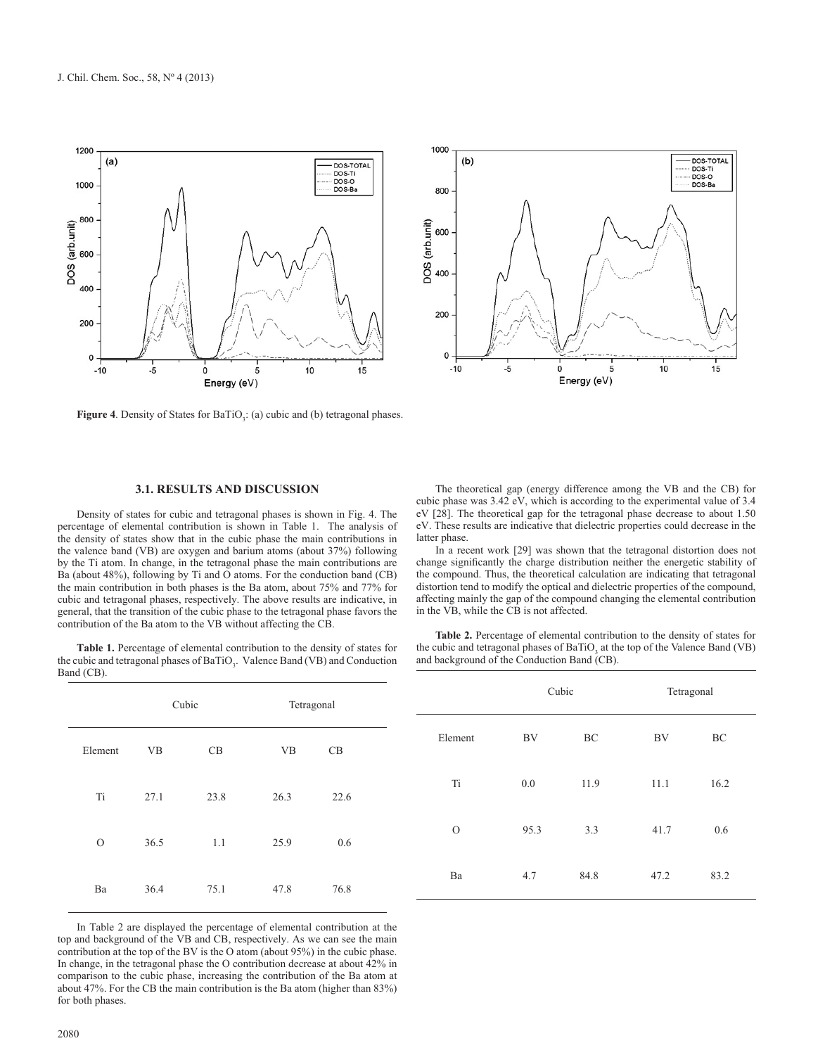![](_page_3_Figure_1.jpeg)

![](_page_3_Figure_2.jpeg)

**Figure 4**. Density of States for  $\text{BaTiO}_3$ : (a) cubic and (b) tetragonal phases.

## **3.1. RESULTS AND DISCUSSION**

Density of states for cubic and tetragonal phases is shown in Fig. 4. The percentage of elemental contribution is shown in Table 1. The analysis of the density of states show that in the cubic phase the main contributions in the valence band (VB) are oxygen and barium atoms (about 37%) following by the Ti atom. In change, in the tetragonal phase the main contributions are Ba (about 48%), following by Ti and O atoms. For the conduction band (CB) the main contribution in both phases is the Ba atom, about 75% and 77% for cubic and tetragonal phases, respectively. The above results are indicative, in general, that the transition of the cubic phase to the tetragonal phase favors the contribution of the Ba atom to the VB without affecting the CB.

**Table 1.** Percentage of elemental contribution to the density of states for the cubic and tetragonal phases of  $BaTiO<sub>3</sub>$ . Valence Band (VB) and Conduction Band (CB).

The theoretical gap (energy difference among the VB and the CB) for cubic phase was 3.42 eV, which is according to the experimental value of 3.4 eV [28]. The theoretical gap for the tetragonal phase decrease to about 1.50 eV. These results are indicative that dielectric properties could decrease in the latter phase.

In a recent work [29] was shown that the tetragonal distortion does not change significantly the charge distribution neither the energetic stability of the compound. Thus, the theoretical calculation are indicating that tetragonal distortion tend to modify the optical and dielectric properties of the compound, affecting mainly the gap of the compound changing the elemental contribution in the VB, while the CB is not affected.

**Table 2.** Percentage of elemental contribution to the density of states for the cubic and tetragonal phases of  $BaTiO<sub>3</sub>$  at the top of the Valence Band (VB) and background of the Conduction Band (CB).

|               | Cubic                                            |                     | Tetragonal                                       |      |               | Cubic     |      | Tetragonal |      |
|---------------|--------------------------------------------------|---------------------|--------------------------------------------------|------|---------------|-----------|------|------------|------|
| Element       | $\ensuremath{\mathsf{V}}\ensuremath{\mathsf{B}}$ | $\operatorname{CB}$ | $\ensuremath{\mathsf{V}}\ensuremath{\mathsf{B}}$ | CB   | Element       | <b>BV</b> | BC   | <b>BV</b>  | BC   |
| Ti            | 27.1                                             | 23.8                | 26.3                                             | 22.6 | Ti            | 0.0       | 11.9 | 11.1       | 16.2 |
| $\mathcal{O}$ | 36.5                                             | 1.1                 | 25.9                                             | 0.6  | $\mathcal{O}$ | 95.3      | 3.3  | 41.7       | 0.6  |
| Ba            | 36.4                                             | 75.1                | 47.8                                             | 76.8 | Ba            | 4.7       | 84.8 | 47.2       | 83.2 |

In Table 2 are displayed the percentage of elemental contribution at the top and background of the VB and CB, respectively. As we can see the main contribution at the top of the BV is the O atom (about 95%) in the cubic phase. In change, in the tetragonal phase the O contribution decrease at about 42% in comparison to the cubic phase, increasing the contribution of the Ba atom at about 47%. For the CB the main contribution is the Ba atom (higher than 83%) for both phases.